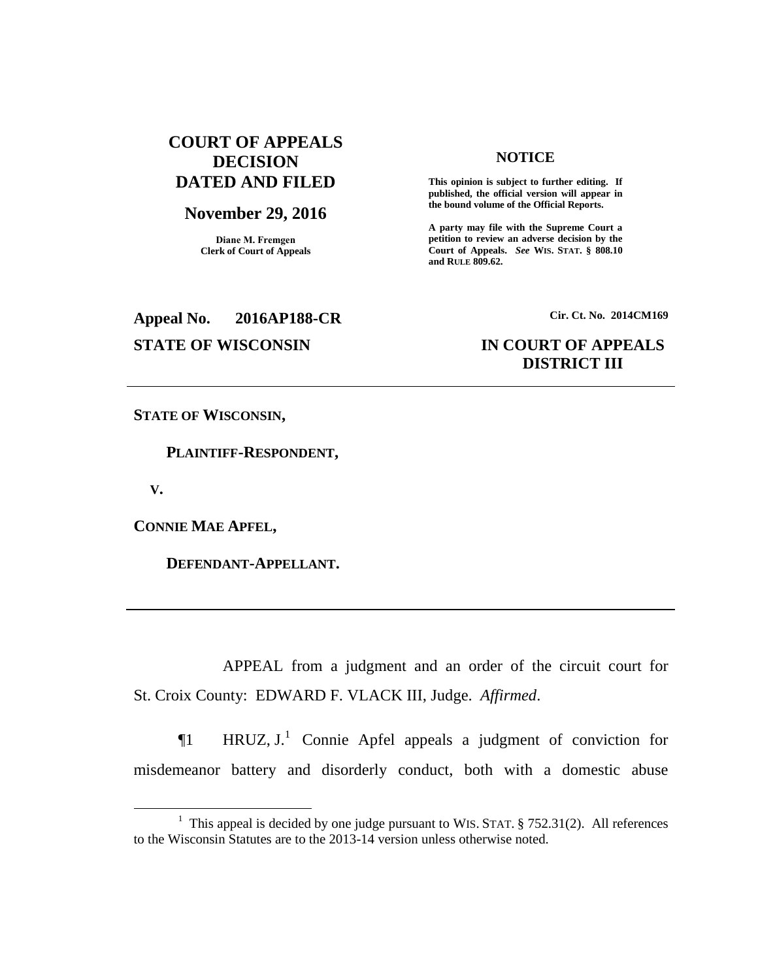# **COURT OF APPEALS DECISION DATED AND FILED**

## **November 29, 2016**

**Diane M. Fremgen Clerk of Court of Appeals**

### **NOTICE**

**This opinion is subject to further editing. If published, the official version will appear in the bound volume of the Official Reports.** 

**A party may file with the Supreme Court a petition to review an adverse decision by the Court of Appeals.** *See* **WIS. STAT. § 808.10 and RULE 809.62.** 

# **Appeal No. 2016AP188-CR Cir. Ct. No. 2014CM169**

# **STATE OF WISCONSIN IN COURT OF APPEALS DISTRICT III**

**STATE OF WISCONSIN,**

 **PLAINTIFF-RESPONDENT,**

 **V.**

 $\overline{a}$ 

**CONNIE MAE APFEL,**

 **DEFENDANT-APPELLANT.**

APPEAL from a judgment and an order of the circuit court for St. Croix County: EDWARD F. VLACK III, Judge. *Affirmed*.

 $\P$ 1 HRUZ, J.<sup>1</sup> Connie Apfel appeals a judgment of conviction for misdemeanor battery and disorderly conduct, both with a domestic abuse

<sup>&</sup>lt;sup>1</sup> This appeal is decided by one judge pursuant to WIS. STAT.  $\S$  752.31(2). All references to the Wisconsin Statutes are to the 2013-14 version unless otherwise noted.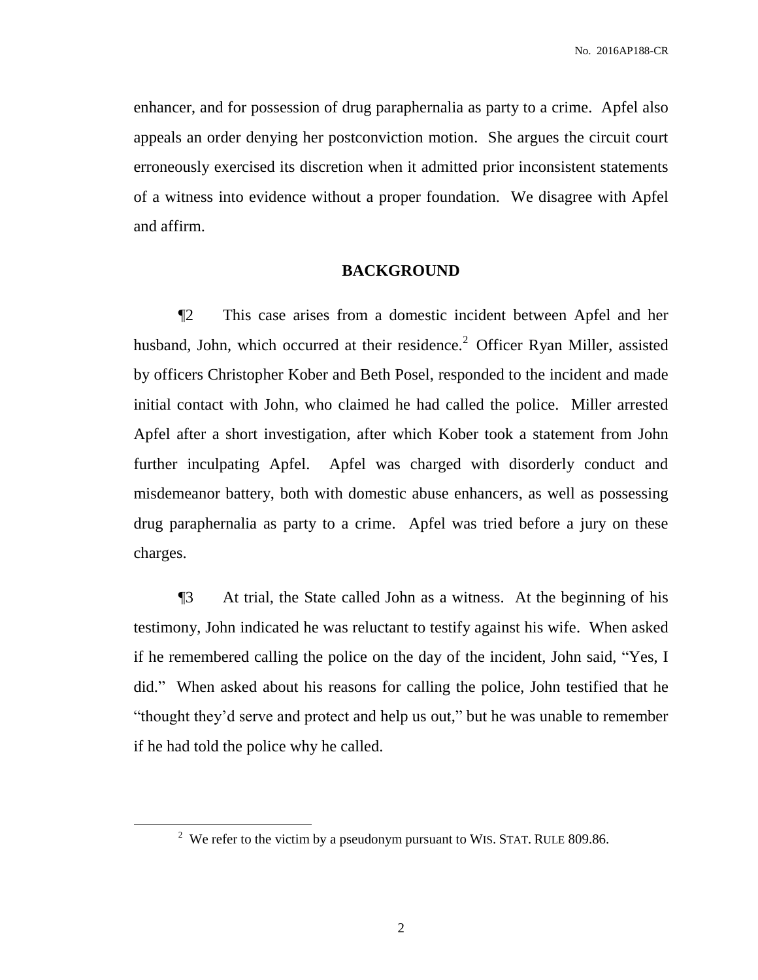enhancer, and for possession of drug paraphernalia as party to a crime. Apfel also appeals an order denying her postconviction motion. She argues the circuit court erroneously exercised its discretion when it admitted prior inconsistent statements of a witness into evidence without a proper foundation. We disagree with Apfel and affirm.

# **BACKGROUND**

¶2 This case arises from a domestic incident between Apfel and her husband, John, which occurred at their residence.<sup>2</sup> Officer Ryan Miller, assisted by officers Christopher Kober and Beth Posel, responded to the incident and made initial contact with John, who claimed he had called the police. Miller arrested Apfel after a short investigation, after which Kober took a statement from John further inculpating Apfel. Apfel was charged with disorderly conduct and misdemeanor battery, both with domestic abuse enhancers, as well as possessing drug paraphernalia as party to a crime. Apfel was tried before a jury on these charges.

¶3 At trial, the State called John as a witness. At the beginning of his testimony, John indicated he was reluctant to testify against his wife. When asked if he remembered calling the police on the day of the incident, John said, "Yes, I did." When asked about his reasons for calling the police, John testified that he "thought they'd serve and protect and help us out," but he was unable to remember if he had told the police why he called.

 $\overline{a}$ 

<sup>&</sup>lt;sup>2</sup> We refer to the victim by a pseudonym pursuant to WIS. STAT. RULE 809.86.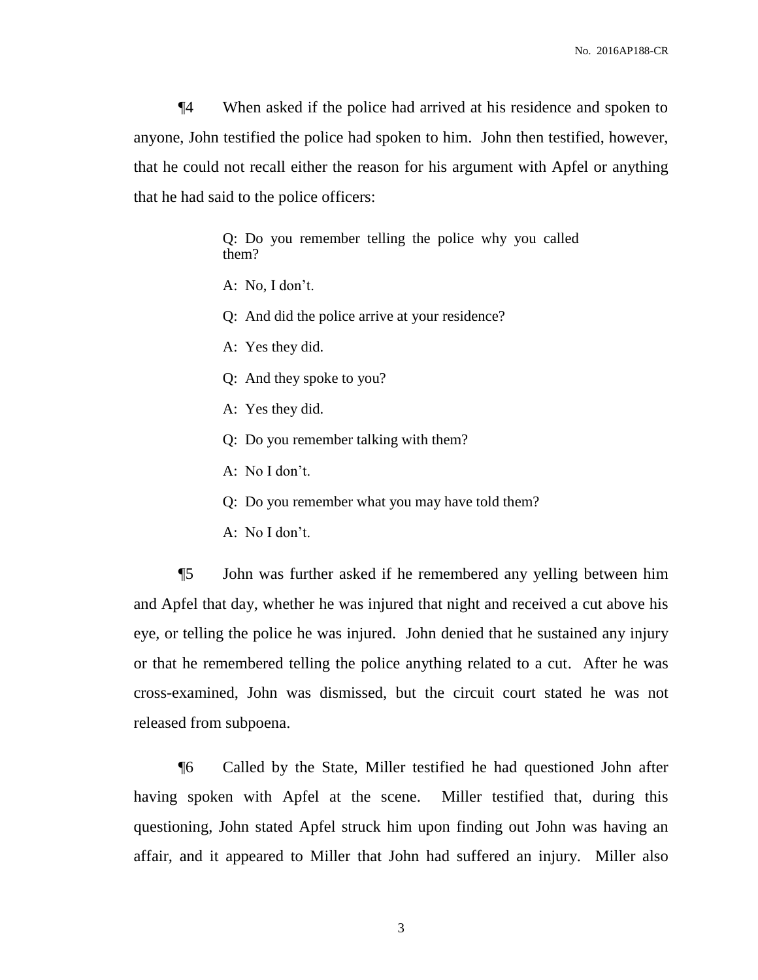¶4 When asked if the police had arrived at his residence and spoken to anyone, John testified the police had spoken to him. John then testified, however, that he could not recall either the reason for his argument with Apfel or anything that he had said to the police officers:

> Q: Do you remember telling the police why you called them?

A: No, I don't.

Q: And did the police arrive at your residence?

A: Yes they did.

Q: And they spoke to you?

A: Yes they did.

Q: Do you remember talking with them?

A: No I don't.

Q: Do you remember what you may have told them?

A: No I don't.

¶5 John was further asked if he remembered any yelling between him and Apfel that day, whether he was injured that night and received a cut above his eye, or telling the police he was injured. John denied that he sustained any injury or that he remembered telling the police anything related to a cut. After he was cross-examined, John was dismissed, but the circuit court stated he was not released from subpoena.

¶6 Called by the State, Miller testified he had questioned John after having spoken with Apfel at the scene. Miller testified that, during this questioning, John stated Apfel struck him upon finding out John was having an affair, and it appeared to Miller that John had suffered an injury. Miller also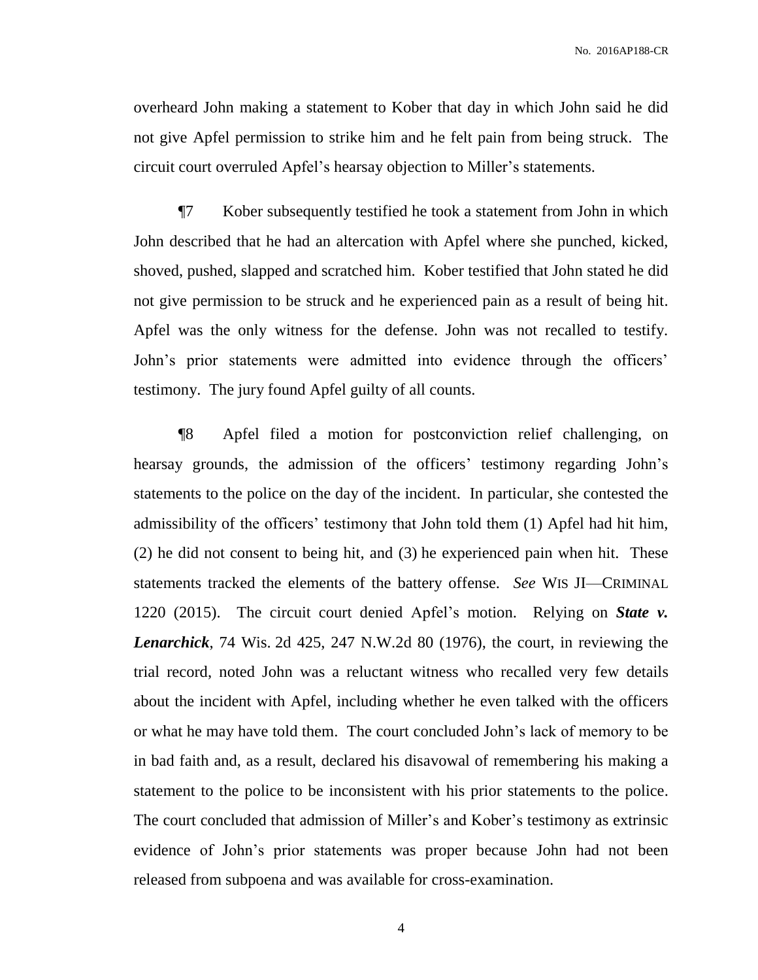overheard John making a statement to Kober that day in which John said he did not give Apfel permission to strike him and he felt pain from being struck. The circuit court overruled Apfel's hearsay objection to Miller's statements.

¶7 Kober subsequently testified he took a statement from John in which John described that he had an altercation with Apfel where she punched, kicked, shoved, pushed, slapped and scratched him. Kober testified that John stated he did not give permission to be struck and he experienced pain as a result of being hit. Apfel was the only witness for the defense. John was not recalled to testify. John's prior statements were admitted into evidence through the officers' testimony. The jury found Apfel guilty of all counts.

¶8 Apfel filed a motion for postconviction relief challenging, on hearsay grounds, the admission of the officers' testimony regarding John's statements to the police on the day of the incident. In particular, she contested the admissibility of the officers' testimony that John told them (1) Apfel had hit him, (2) he did not consent to being hit, and (3) he experienced pain when hit. These statements tracked the elements of the battery offense. *See* WIS JI—CRIMINAL 1220 (2015). The circuit court denied Apfel's motion. Relying on *State v. Lenarchick*, 74 Wis. 2d 425, 247 N.W.2d 80 (1976), the court, in reviewing the trial record, noted John was a reluctant witness who recalled very few details about the incident with Apfel, including whether he even talked with the officers or what he may have told them. The court concluded John's lack of memory to be in bad faith and, as a result, declared his disavowal of remembering his making a statement to the police to be inconsistent with his prior statements to the police. The court concluded that admission of Miller's and Kober's testimony as extrinsic evidence of John's prior statements was proper because John had not been released from subpoena and was available for cross-examination.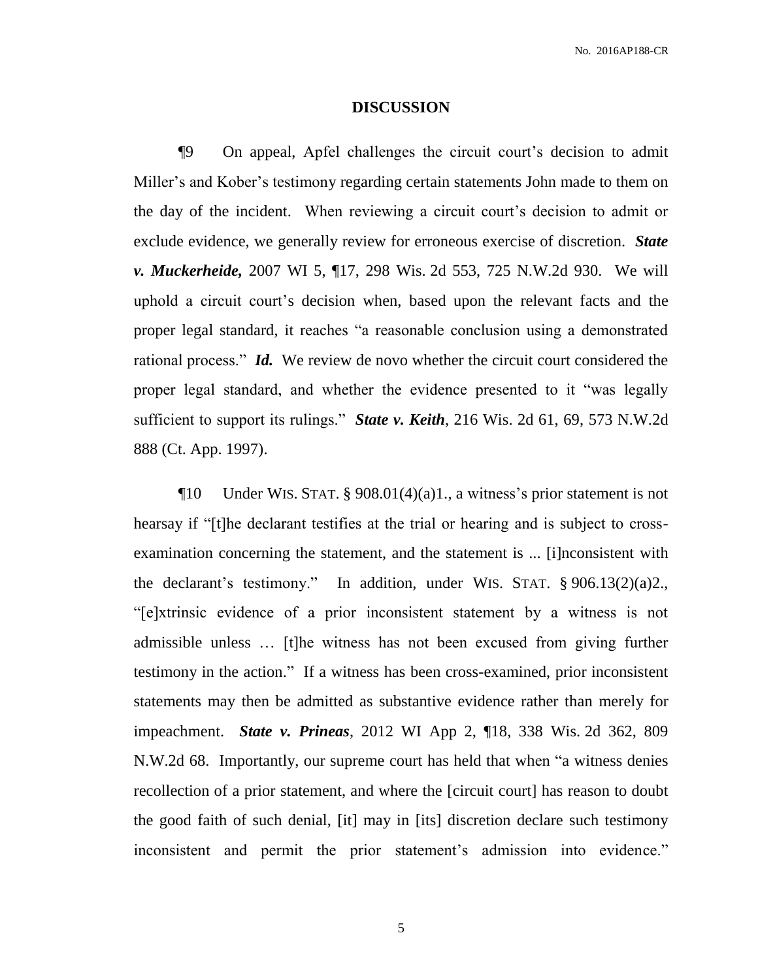### **DISCUSSION**

¶9 On appeal, Apfel challenges the circuit court's decision to admit Miller's and Kober's testimony regarding certain statements John made to them on the day of the incident. When reviewing a circuit court's decision to admit or exclude evidence, we generally review for erroneous exercise of discretion. *State v. Muckerheide,* 2007 WI 5, ¶17, 298 Wis. 2d 553, 725 N.W.2d 930. We will uphold a circuit court's decision when, based upon the relevant facts and the proper legal standard, it reaches "a reasonable conclusion using a demonstrated rational process." *Id.* We review de novo whether the circuit court considered the proper legal standard, and whether the evidence presented to it "was legally sufficient to support its rulings." *State v. Keith*, 216 Wis. 2d 61, 69, 573 N.W.2d 888 (Ct. App. 1997).

 $\P$ 10 Under WIS. STAT. § 908.01(4)(a)1., a witness's prior statement is not hearsay if "[t]he declarant testifies at the trial or hearing and is subject to crossexamination concerning the statement, and the statement is ... [i]nconsistent with the declarant's testimony." In addition, under WIS. STAT. § 906.13(2)(a)2., "[e]xtrinsic evidence of a prior inconsistent statement by a witness is not admissible unless … [t]he witness has not been excused from giving further testimony in the action." If a witness has been cross-examined, prior inconsistent statements may then be admitted as substantive evidence rather than merely for impeachment. *State v. Prineas*, 2012 WI App 2, ¶18, 338 Wis. 2d 362, 809 N.W.2d 68. Importantly, our supreme court has held that when "a witness denies recollection of a prior statement, and where the [circuit court] has reason to doubt the good faith of such denial, [it] may in [its] discretion declare such testimony inconsistent and permit the prior statement's admission into evidence."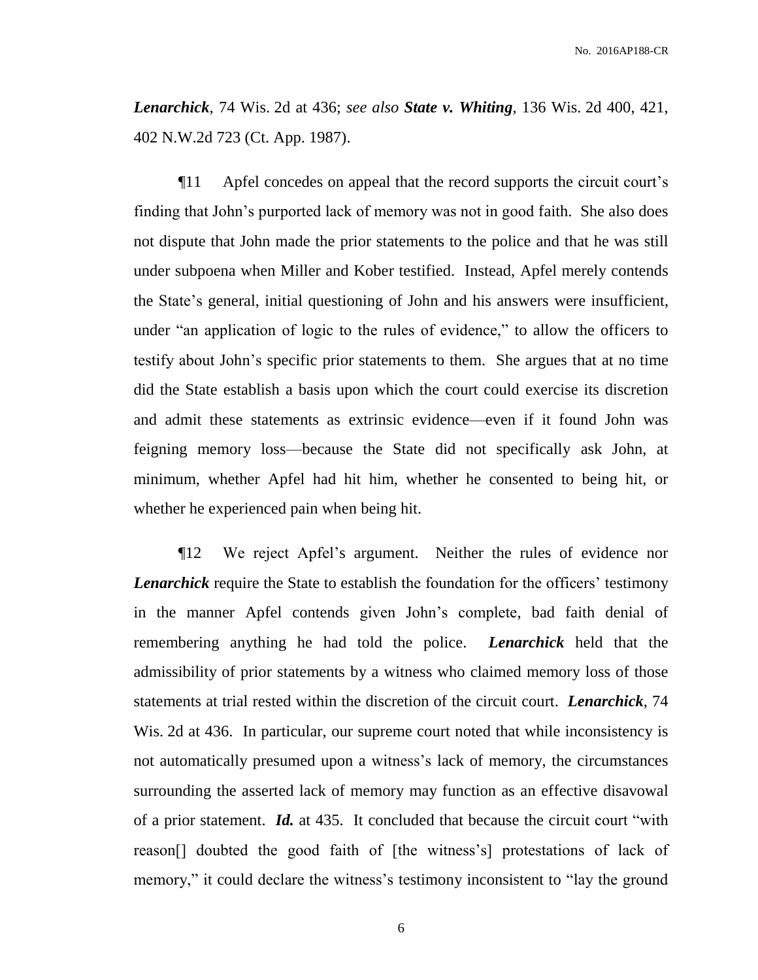*Lenarchick*, 74 Wis. 2d at 436; *see also State v. Whiting*, 136 Wis. 2d 400, 421, 402 N.W.2d 723 (Ct. App. 1987).

¶11 Apfel concedes on appeal that the record supports the circuit court's finding that John's purported lack of memory was not in good faith. She also does not dispute that John made the prior statements to the police and that he was still under subpoena when Miller and Kober testified. Instead, Apfel merely contends the State's general, initial questioning of John and his answers were insufficient, under "an application of logic to the rules of evidence," to allow the officers to testify about John's specific prior statements to them. She argues that at no time did the State establish a basis upon which the court could exercise its discretion and admit these statements as extrinsic evidence—even if it found John was feigning memory loss—because the State did not specifically ask John, at minimum, whether Apfel had hit him, whether he consented to being hit, or whether he experienced pain when being hit.

¶12 We reject Apfel's argument. Neither the rules of evidence nor *Lenarchick* require the State to establish the foundation for the officers' testimony in the manner Apfel contends given John's complete, bad faith denial of remembering anything he had told the police. *Lenarchick* held that the admissibility of prior statements by a witness who claimed memory loss of those statements at trial rested within the discretion of the circuit court. *Lenarchick*, 74 Wis. 2d at 436. In particular, our supreme court noted that while inconsistency is not automatically presumed upon a witness's lack of memory, the circumstances surrounding the asserted lack of memory may function as an effective disavowal of a prior statement. *Id.* at 435. It concluded that because the circuit court "with reason[] doubted the good faith of [the witness's] protestations of lack of memory," it could declare the witness's testimony inconsistent to "lay the ground"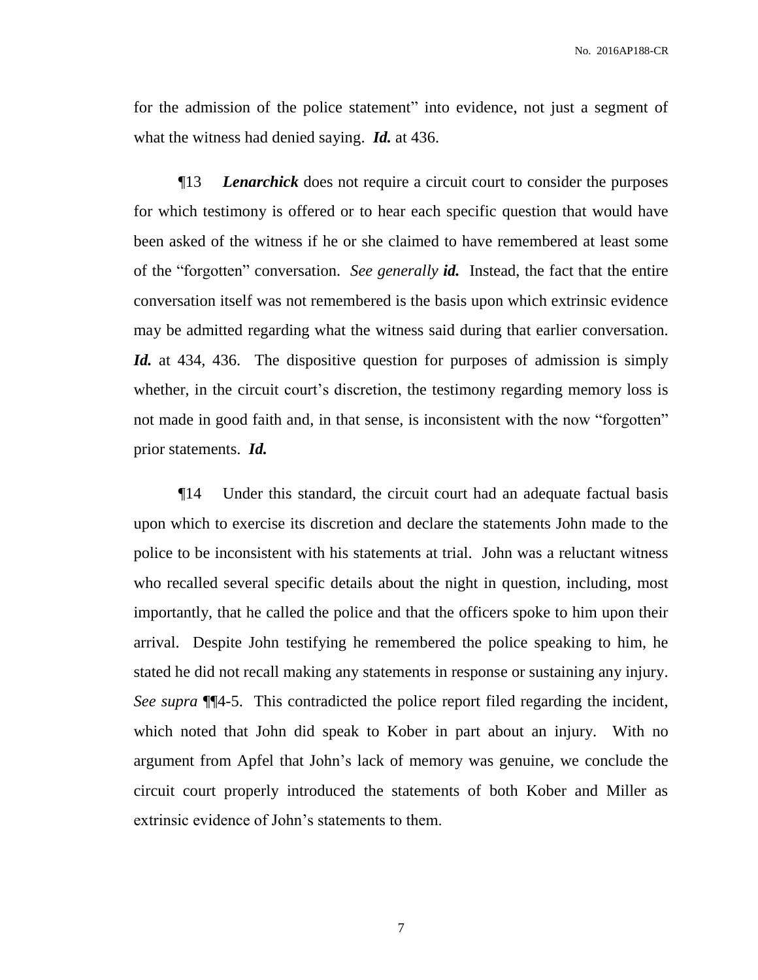No. 2016AP188-CR

for the admission of the police statement" into evidence, not just a segment of what the witness had denied saying. *Id.* at 436.

¶13 *Lenarchick* does not require a circuit court to consider the purposes for which testimony is offered or to hear each specific question that would have been asked of the witness if he or she claimed to have remembered at least some of the "forgotten" conversation. *See generally id.* Instead, the fact that the entire conversation itself was not remembered is the basis upon which extrinsic evidence may be admitted regarding what the witness said during that earlier conversation. *Id.* at 434, 436. The dispositive question for purposes of admission is simply whether, in the circuit court's discretion, the testimony regarding memory loss is not made in good faith and, in that sense, is inconsistent with the now "forgotten" prior statements. *Id.*

¶14 Under this standard, the circuit court had an adequate factual basis upon which to exercise its discretion and declare the statements John made to the police to be inconsistent with his statements at trial. John was a reluctant witness who recalled several specific details about the night in question, including, most importantly, that he called the police and that the officers spoke to him upon their arrival. Despite John testifying he remembered the police speaking to him, he stated he did not recall making any statements in response or sustaining any injury. *See supra* ¶¶4-5. This contradicted the police report filed regarding the incident, which noted that John did speak to Kober in part about an injury. With no argument from Apfel that John's lack of memory was genuine, we conclude the circuit court properly introduced the statements of both Kober and Miller as extrinsic evidence of John's statements to them.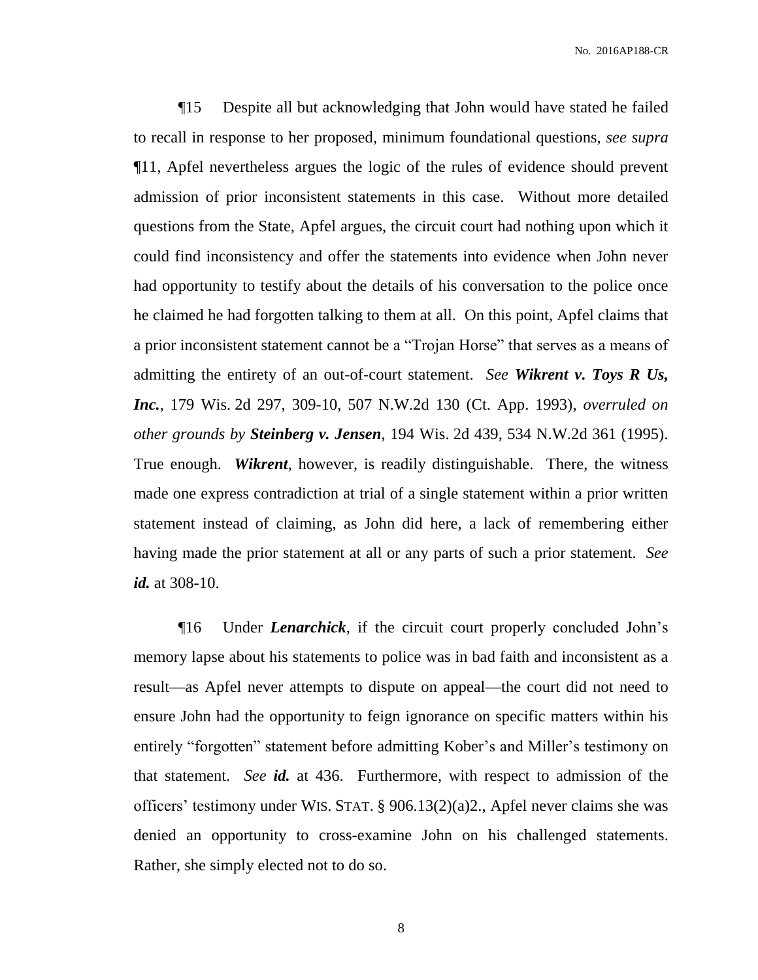¶15 Despite all but acknowledging that John would have stated he failed to recall in response to her proposed, minimum foundational questions, *see supra* ¶11, Apfel nevertheless argues the logic of the rules of evidence should prevent admission of prior inconsistent statements in this case. Without more detailed questions from the State, Apfel argues, the circuit court had nothing upon which it could find inconsistency and offer the statements into evidence when John never had opportunity to testify about the details of his conversation to the police once he claimed he had forgotten talking to them at all. On this point, Apfel claims that a prior inconsistent statement cannot be a "Trojan Horse" that serves as a means of admitting the entirety of an out-of-court statement. *See Wikrent v. Toys R Us, Inc.*, 179 Wis. 2d 297, 309-10, 507 N.W.2d 130 (Ct. App. 1993), *overruled on other grounds by Steinberg v. Jensen*, 194 Wis. 2d 439, 534 N.W.2d 361 (1995). True enough. *Wikrent*, however, is readily distinguishable. There, the witness made one express contradiction at trial of a single statement within a prior written statement instead of claiming, as John did here, a lack of remembering either having made the prior statement at all or any parts of such a prior statement. *See id.* at 308-10.

¶16 Under *Lenarchick*, if the circuit court properly concluded John's memory lapse about his statements to police was in bad faith and inconsistent as a result—as Apfel never attempts to dispute on appeal—the court did not need to ensure John had the opportunity to feign ignorance on specific matters within his entirely "forgotten" statement before admitting Kober's and Miller's testimony on that statement. *See id.* at 436. Furthermore, with respect to admission of the officers' testimony under WIS. STAT. § 906.13(2)(a)2., Apfel never claims she was denied an opportunity to cross-examine John on his challenged statements. Rather, she simply elected not to do so.